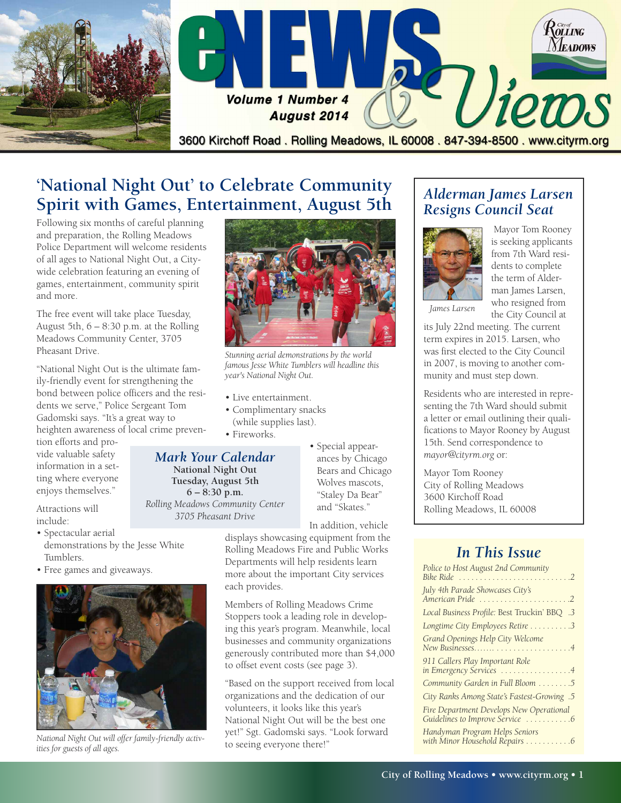

### **'National Night Out' to Celebrate Community Spirit with Games, Entertainment, August 5th** *Alderman James Larsen*

Following six months of careful planning and preparation, the Rolling Meadows Police Department will welcome residents of all ages to National Night Out, a Citywide celebration featuring an evening of games, entertainment, community spirit and more.

The free event will take place Tuesday, August 5th,  $6 - 8:30$  p.m. at the Rolling Meadows Community Center, 3705 Pheasant Drive.

"National Night Out is the ultimate family-friendly event for strengthening the bond between police officers and the residents we serve," Police Sergeant Tom Gadomski says. "It's a great way to heighten awareness of local crime preven-

tion efforts and provide valuable safety information in a setting where everyone enjoys themselves."

Attractions will include:

- Spectacular aerial demonstrations by the Jesse White Tumblers.
- Free games and giveaways.



*National Night Out will offer family-friendly activities for guests of all ages.*



*Stunning aerial demonstrations by the world famous Jesse White Tumblers will headline this year's National Night Out.*

- Live entertainment.
- Complimentary snacks (while supplies last).
- Fireworks.

*Mark Your Calendar* **National Night Out Tuesday, August 5th 6 – 8:30 p.m.** *Rolling Meadows Community Center 3705 Pheasant Drive*

• Special appearances by Chicago Bears and Chicago Wolves mascots, "Staley Da Bear" and "Skates."

In addition, vehicle displays showcasing equipment from the Rolling Meadows Fire and Public Works Departments will help residents learn more about the important City services each provides.

Members of Rolling Meadows Crime Stoppers took a leading role in developing this year's program. Meanwhile, local businesses and community organizations generously contributed more than \$4,000 to offset event costs (see page 3).

"Based on the support received from local organizations and the dedication of our volunteers, it looks like this year's National Night Out will be the best one yet!" Sgt. Gadomski says. "Look forward to seeing everyone there!"

# *Resigns Council Seat*



Mayor Tom Rooney is seeking applicants from 7th Ward residents to complete the term of Alderman James Larsen, who resigned from the City Council at

*James Larsen*

its July 22nd meeting. The current term expires in 2015. Larsen, who was first elected to the City Council in 2007, is moving to another community and must step down.

Residents who are interested in representing the 7th Ward should submit a letter or email outlining their qualifications to Mayor Rooney by August 15th. Send correspondence to *[mayor@cityrm.org](mailto:mayor@cityrm.org)* or:

Mayor Tom Rooney City of Rolling Meadows 3600 Kirchoff Road Rolling Meadows, IL 60008

#### *In This Issue*

| Police to Host August 2nd Community<br>Bike Ride<br>. <u>.</u> 2 |
|------------------------------------------------------------------|
| July 4th Parade Showcases City's<br>American Pride 2             |
| Local Business Profile: Best Truckin' BBQ<br>.3                  |
| Longtime City Employees Retire 3                                 |
| Grand Openings Help City Welcome                                 |
| 911 Callers Play Important Role<br>in Emergency Services 4       |
|                                                                  |
| Community Garden in Full Bloom 5                                 |
| 5. City Ranks Among State's Fastest-Growing                      |
| Fire Department Develops New Operational                         |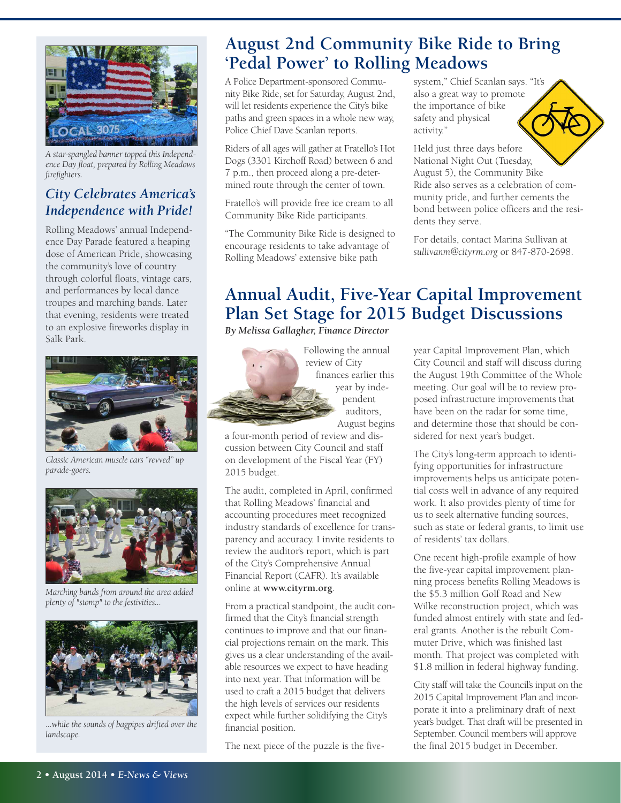

*A star-spangled banner topped this Independence Day float, prepared by Rolling Meadows firefighters.*

#### *City Celebrates America's Independence with Pride!*

Rolling Meadows' annual Independence Day Parade featured a heaping dose of American Pride, showcasing the community's love of country through colorful floats, vintage cars, and performances by local dance troupes and marching bands. Later that evening, residents were treated to an explosive fireworks display in Salk Park.



*Classic American muscle cars "revved" up parade-goers.*



*Marching bands from around the area added plenty of "stomp" to the festivities...*



*...while the sounds of bagpipes drifted over the landscape.*

### **August 2nd Community Bike Ride to Bring 'Pedal Power' to Rolling Meadows**

A Police Department-sponsored Community Bike Ride, set for Saturday, August 2nd, will let residents experience the City's bike paths and green spaces in a whole new way, Police Chief Dave Scanlan reports.

Riders of all ages will gather at Fratello's Hot Dogs (3301 Kirchoff Road) between 6 and 7 p.m., then proceed along a pre-determined route through the center of town.

Fratello's will provide free ice cream to all Community Bike Ride participants.

"The Community Bike Ride is designed to encourage residents to take advantage of Rolling Meadows' extensive bike path

system," Chief Scanlan says. "It's also a great way to promote the importance of bike safety and physical activity."

Held just three days before National Night Out (Tuesday, August 5), the Community Bike Ride also serves as a celebration of community pride, and further cements the bond between police officers and the residents they serve.

For details, contact Marina Sullivan at *[sullivanm@cityrm.org](mailto:sullivanm@cityrm.org)* or 847-870-2698.

### **Annual Audit, Five-Year Capital Improvement Plan Set Stage for 2015 Budget Discussions**

*By Melissa Gallagher, Finance Director*



review of City finances earlier this year by independent auditors, August begins

a four-month period of review and discussion between City Council and staff on development of the Fiscal Year (FY) 2015 budget.

The audit, completed in April, confirmed that Rolling Meadows' financial and accounting procedures meet recognized industry standards of excellence for transparency and accuracy. I invite residents to review the auditor's report, which is part of the City's Comprehensive Annual Financial Report (CAFR). It's available online at **[www.cityrm.org](http://www.cityrm.org)**.

From a practical standpoint, the audit confirmed that the City's financial strength continues to improve and that our financial projections remain on the mark. This gives us a clear understanding of the available resources we expect to have heading into next year. That information will be used to craft a 2015 budget that delivers the high levels of services our residents expect while further solidifying the City's financial position.

The next piece of the puzzle is the five-

year Capital Improvement Plan, which City Council and staff will discuss during the August 19th Committee of the Whole meeting. Our goal will be to review proposed infrastructure improvements that have been on the radar for some time, and determine those that should be considered for next year's budget.

The City's long-term approach to identifying opportunities for infrastructure improvements helps us anticipate potential costs well in advance of any required work. It also provides plenty of time for us to seek alternative funding sources, such as state or federal grants, to limit use of residents' tax dollars.

One recent high-profile example of how the five-year capital improvement planning process benefits Rolling Meadows is the \$5.3 million Golf Road and New Wilke reconstruction project, which was funded almost entirely with state and federal grants. Another is the rebuilt Commuter Drive, which was finished last month. That project was completed with \$1.8 million in federal highway funding.

City staff will take the Council's input on the 2015 Capital Improvement Plan and incorporate it into a preliminary draft of next year's budget. That draft will be presented in September. Council members will approve the final 2015 budget in December.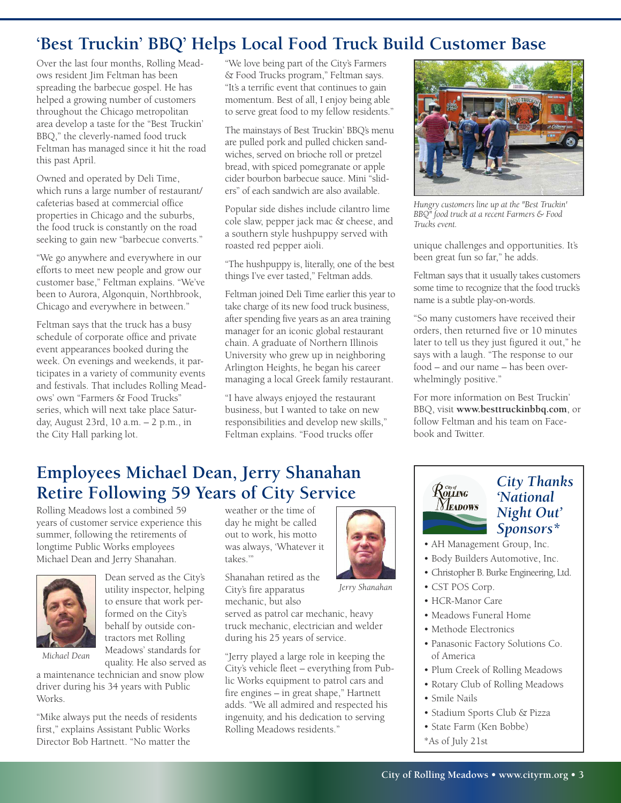### **'Best Truckin' BBQ' Helps Local Food Truck Build Customer Base**

Over the last four months, Rolling Meadows resident Jim Feltman has been spreading the barbecue gospel. He has helped a growing number of customers throughout the Chicago metropolitan area develop a taste for the "Best Truckin' BBQ," the cleverly-named food truck Feltman has managed since it hit the road this past April.

Owned and operated by Deli Time, which runs a large number of restaurant/ cafeterias based at commercial office properties in Chicago and the suburbs, the food truck is constantly on the road seeking to gain new "barbecue converts."

"We go anywhere and everywhere in our efforts to meet new people and grow our customer base," Feltman explains. "We've been to Aurora, Algonquin, Northbrook, Chicago and everywhere in between."

Feltman says that the truck has a busy schedule of corporate office and private event appearances booked during the week. On evenings and weekends, it participates in a variety of community events and festivals. That includes Rolling Meadows' own "Farmers & Food Trucks" series, which will next take place Saturday, August 23rd, 10 a.m. – 2 p.m., in the City Hall parking lot.

"We love being part of the City's Farmers & Food Trucks program," Feltman says. "It's a terrific event that continues to gain momentum. Best of all, I enjoy being able to serve great food to my fellow residents."

The mainstays of Best Truckin' BBQ's menu are pulled pork and pulled chicken sandwiches, served on brioche roll or pretzel bread, with spiced pomegranate or apple cider bourbon barbecue sauce. Mini "sliders" of each sandwich are also available.

Popular side dishes include cilantro lime cole slaw, pepper jack mac & cheese, and a southern style hushpuppy served with roasted red pepper aioli.

"The hushpuppy is, literally, one of the best things I've ever tasted," Feltman adds.

Feltman joined Deli Time earlier this year to take charge of its new food truck business, after spending five years as an area training manager for an iconic global restaurant chain. A graduate of Northern Illinois University who grew up in neighboring Arlington Heights, he began his career managing a local Greek family restaurant.

"I have always enjoyed the restaurant business, but I wanted to take on new responsibilities and develop new skills," Feltman explains. "Food trucks offer



*Hungry customers line up at the "Best Truckin' BBQ" food truck at a recent Farmers & Food Trucks event.*

unique challenges and opportunities. It's been great fun so far," he adds.

Feltman says that it usually takes customers some time to recognize that the food truck's name is a subtle play-on-words.

"So many customers have received their orders, then returned five or 10 minutes later to tell us they just figured it out," he says with a laugh. "The response to our food – and our name – has been overwhelmingly positive."

For more information on Best Truckin' BBQ, visit **<www.besttruckinbbq.com>**, or follow Feltman and his team on Facebook and Twitter.

# **Employees Michael Dean, Jerry Shanahan Retire Following 59 Years of City Service**

Rolling Meadows lost a combined 59 years of customer service experience this summer, following the retirements of longtime Public Works employees Michael Dean and Jerry Shanahan.



Dean served as the City's utility inspector, helping to ensure that work performed on the City's behalf by outside contractors met Rolling Meadows' standards for quality. He also served as

*Michael Dean*

a maintenance technician and snow plow driver during his 34 years with Public Works.

"Mike always put the needs of residents first," explains Assistant Public Works Director Bob Hartnett. "No matter the

weather or the time of day he might be called out to work, his motto was always, 'Whatever it takes."

Shanahan retired as the City's fire apparatus mechanic, but also served as patrol car mechanic, heavy truck mechanic, electrician and welder during his 25 years of service.

"Jerry played a large role in keeping the City's vehicle fleet – everything from Public Works equipment to patrol cars and fire engines – in great shape," Hartnett adds. "We all admired and respected his ingenuity, and his dedication to serving Rolling Meadows residents."



*Jerry Shanahan*

 $\mathcal{R}^{\text{cusp}}$ *Neadows* 

#### *City Thanks 'National Night Out' Sponsors\**

- AH Management Group, Inc.
- Body Builders Automotive, Inc.
- Christopher B. Burke Engineering, Ltd.
- CST POS Corp.
- HCR-Manor Care
- Meadows Funeral Home
- Methode Electronics
- Panasonic Factory Solutions Co. of America
- Plum Creek of Rolling Meadows
- Rotary Club of Rolling Meadows
- Smile Nails
- Stadium Sports Club & Pizza
- State Farm (Ken Bobbe)
- \*As of July 21st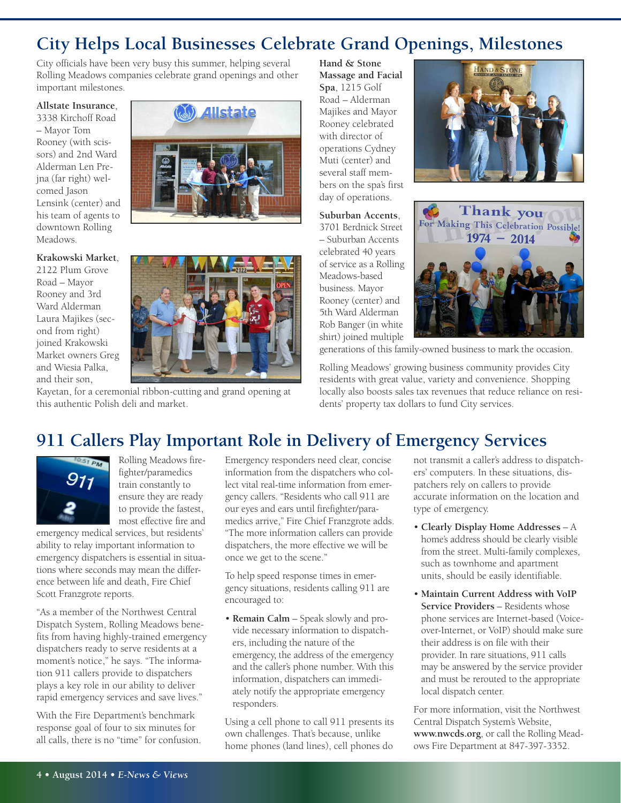# **City Helps Local Businesses Celebrate Grand Openings, Milestones**

City officials have been very busy this summer, helping several Rolling Meadows companies celebrate grand openings and other important milestones.

**Allstate Insurance**, 3338 Kirchoff Road – Mayor Tom Rooney (with scissors) and 2nd Ward Alderman Len Prejna (far right) welcomed Jason Lensink (center) and his team of agents to downtown Rolling Meadows.

#### **Krakowski Market**,

2122 Plum Grove Road – Mayor Rooney and 3rd Ward Alderman Laura Majikes (second from right) joined Krakowski Market owners Greg and Wiesia Palka, and their son,





Kayetan, for a ceremonial ribbon-cutting and grand opening at this authentic Polish deli and market.

**Hand & Stone Massage and Facial Spa**, 1215 Golf Road – Alderman Majikes and Mayor Rooney celebrated with director of operations Cydney Muti (center) and several staff members on the spa's first day of operations.

#### **Suburban Accents**, 3701 Berdnick Street – Suburban Accents celebrated 40 years of service as a Rolling Meadows-based business. Mayor Rooney (center) and 5th Ward Alderman Rob Banger (in white shirt) joined multiple





generations of this family-owned business to mark the occasion.

Rolling Meadows' growing business community provides City residents with great value, variety and convenience. Shopping locally also boosts sales tax revenues that reduce reliance on residents' property tax dollars to fund City services.

# **911 Callers Play Important Role in Delivery of Emergency Services**



Rolling Meadows firefighter/paramedics train constantly to ensure they are ready to provide the fastest, most effective fire and

emergency medical services, but residents' ability to relay important information to emergency dispatchers is essential in situations where seconds may mean the difference between life and death, Fire Chief Scott Franzgrote reports.

"As a member of the Northwest Central Dispatch System, Rolling Meadows benefits from having highly-trained emergency dispatchers ready to serve residents at a moment's notice," he says. "The information 911 callers provide to dispatchers plays a key role in our ability to deliver rapid emergency services and save lives."

With the Fire Department's benchmark response goal of four to six minutes for all calls, there is no "time" for confusion.

Emergency responders need clear, concise information from the dispatchers who collect vital real-time information from emergency callers. "Residents who call 911 are our eyes and ears until firefighter/paramedics arrive," Fire Chief Franzgrote adds. "The more information callers can provide dispatchers, the more effective we will be once we get to the scene."

To help speed response times in emergency situations, residents calling 911 are encouraged to:

• **Remain Calm** – Speak slowly and provide necessary information to dispatchers, including the nature of the emergency, the address of the emergency and the caller's phone number. With this information, dispatchers can immediately notify the appropriate emergency responders.

Using a cell phone to call 911 presents its own challenges. That's because, unlike home phones (land lines), cell phones do

not transmit a caller's address to dispatchers' computers. In these situations, dispatchers rely on callers to provide accurate information on the location and type of emergency.

- **Clearly Display Home Addresses** A home's address should be clearly visible from the street. Multi-family complexes, such as townhome and apartment units, should be easily identifiable.
- **Maintain Current Address with VoIP Service Providers** – Residents whose phone services are Internet-based (Voiceover-Internet, or VoIP) should make sure their address is on file with their provider. In rare situations, 911 calls may be answered by the service provider and must be rerouted to the appropriate local dispatch center.

For more information, visit the Northwest Central Dispatch System's Website, **<www.nwcds.org>**, or call the Rolling Meadows Fire Department at 847-397-3352.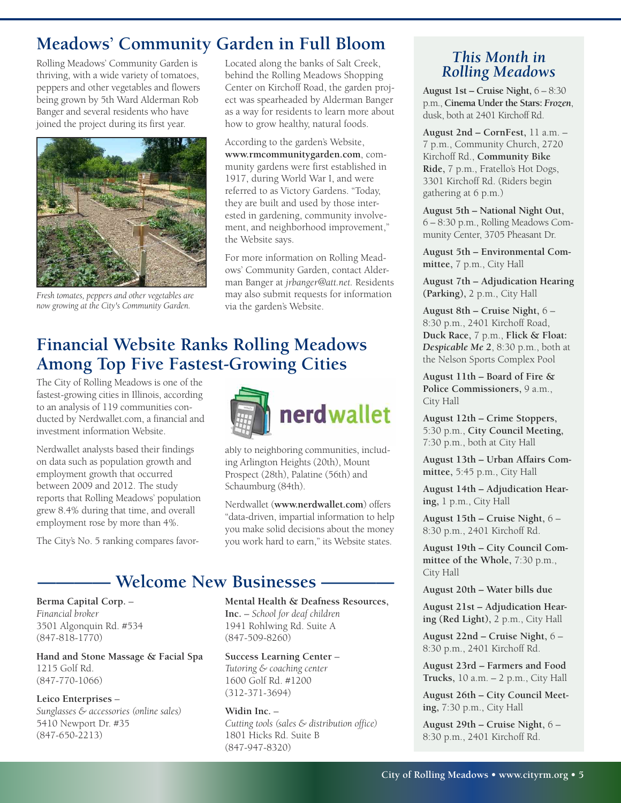### **Meadows' Community Garden in Full Bloom**

Rolling Meadows' Community Garden is thriving, with a wide variety of tomatoes, peppers and other vegetables and flowers being grown by 5th Ward Alderman Rob Banger and several residents who have joined the project during its first year.



*Fresh tomates, peppers and other vegetables are now growing at the City's Community Garden.*

Located along the banks of Salt Creek, behind the Rolling Meadows Shopping Center on Kirchoff Road, the garden project was spearheaded by Alderman Banger as a way for residents to learn more about how to grow healthy, natural foods.

According to the garden's Website, **<www.rmcommunitygarden.com>**, community gardens were first established in 1917, during World War I, and were referred to as Victory Gardens. "Today, they are built and used by those interested in gardening, community involvement, and neighborhood improvement," the Website says.

For more information on Rolling Meadows' Community Garden, contact Alderman Banger at *[jrbanger@att.net.](mailto:jrbanger@att.net)* Residents may also submit requests for information via the garden's Website.

# **Financial Website Ranks Rolling Meadows Among Top Five Fastest-Growing Cities**

The City of Rolling Meadows is one of the fastest-growing cities in Illinois, according to an analysis of 119 communities conducted by Nerdwallet.com, a financial and investment information Website.

Nerdwallet analysts based their findings on data such as population growth and employment growth that occurred between 2009 and 2012. The study reports that Rolling Meadows' population grew 8.4% during that time, and overall employment rose by more than 4%.

The City's No. 5 ranking compares favor-



ably to neighboring communities, including Arlington Heights (20th), Mount Prospect (28th), Palatine (56th) and Schaumburg (84th).

Nerdwallet (**<www.nerdwallet.com>**) offers "data-driven, impartial information to help you make solid decisions about the money you work hard to earn," its Website states.

#### **———— Welcome New Businesses ————**

#### **Berma Capital Corp.** –

*Financial broker* 3501 Algonquin Rd. #534 (847-818-1770)

**Hand and Stone Massage & Facial Spa** 1215 Golf Rd. (847-770-1066)

#### **Leico Enterprises** –

*Sunglasses & accessories (online sales)* 5410 Newport Dr. #35 (847-650-2213)

**Mental Health & Deafness Resources, Inc.** – *School for deaf children*

1941 Rohlwing Rd. Suite A (847-509-8260)

#### **Success Learning Center** –

*Tutoring & coaching center* 1600 Golf Rd. #1200 (312-371-3694)

#### **Widin Inc.** –

*Cutting tools (sales & distribution office)* 1801 Hicks Rd. Suite B (847-947-8320)

#### *This Month in Rolling Meadows*

**August 1st – Cruise Night,** 6 – 8:30 p.m., **Cinema Underthe Stars:** *Frozen*, dusk, both at 2401 Kirchoff Rd.

**August 2nd – CornFest,** 11 a.m. – 7 p.m., Community Church, 2720 Kirchoff Rd., **Community Bike Ride,** 7 p.m., Fratello's Hot Dogs, 3301 Kirchoff Rd. (Riders begin gathering at 6 p.m.)

**August 5th – National Night Out,** 6 – 8:30 p.m., Rolling Meadows Community Center, 3705 Pheasant Dr.

**August 5th – Environmental Committee,** 7 p.m., City Hall

**August 7th – Adjudication Hearing (Parking),** 2 p.m., City Hall

**August 8th – Cruise Night,** 6 – 8:30 p.m., 2401 Kirchoff Road, **Duck Race,** 7 p.m., **Flick & Float:** *Despicable Me 2*, 8:30 p.m., both at the Nelson Sports Complex Pool

**August 11th – Board of Fire & Police Commissioners,** 9 a.m., City Hall

**August 12th – Crime Stoppers,** 5:30 p.m., **City Council Meeting,** 7:30 p.m., both at City Hall

**August 13th – Urban Affairs Committee,** 5:45 p.m., City Hall

**August 14th – Adjudication Hearing,** 1 p.m., City Hall

**August 15th – Cruise Night,** 6 – 8:30 p.m., 2401 Kirchoff Rd.

**August 19th – City Council Committee of the Whole,** 7:30 p.m., City Hall

**August 20th – Water bills due**

**August 21st – Adjudication Hearing (Red Light),** 2 p.m., City Hall

**August 22nd – Cruise Night,** 6 – 8:30 p.m., 2401 Kirchoff Rd.

**August 23rd – Farmers and Food Trucks,** 10 a.m. – 2 p.m., City Hall

**August 26th – City Council Meeting,** 7:30 p.m., City Hall

**August 29th – Cruise Night,** 6 – 8:30 p.m., 2401 Kirchoff Rd.